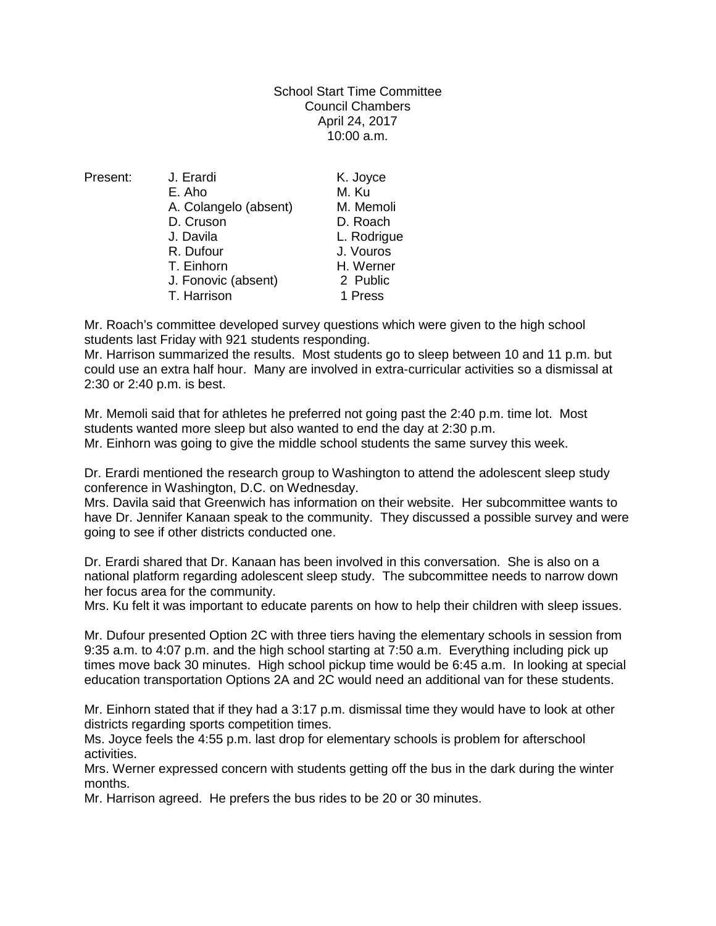School Start Time Committee Council Chambers April 24, 2017 10:00 a.m.

| Present: | J. Erardi             | K. Joyce    |
|----------|-----------------------|-------------|
|          | E. Aho                | M. Ku       |
|          | A. Colangelo (absent) | M. Memoli   |
|          | D. Cruson             | D. Roach    |
|          | J. Davila             | L. Rodrigue |
|          | R. Dufour             | J. Vouros   |
|          | T. Einhorn            | H. Werner   |
|          | J. Fonovic (absent)   | 2 Public    |
|          | T. Harrison           | 1 Press     |
|          |                       |             |

Mr. Roach's committee developed survey questions which were given to the high school students last Friday with 921 students responding.

Mr. Harrison summarized the results. Most students go to sleep between 10 and 11 p.m. but could use an extra half hour. Many are involved in extra-curricular activities so a dismissal at 2:30 or 2:40 p.m. is best.

Mr. Memoli said that for athletes he preferred not going past the 2:40 p.m. time lot. Most students wanted more sleep but also wanted to end the day at 2:30 p.m. Mr. Einhorn was going to give the middle school students the same survey this week.

Dr. Erardi mentioned the research group to Washington to attend the adolescent sleep study conference in Washington, D.C. on Wednesday.

Mrs. Davila said that Greenwich has information on their website. Her subcommittee wants to have Dr. Jennifer Kanaan speak to the community. They discussed a possible survey and were going to see if other districts conducted one.

Dr. Erardi shared that Dr. Kanaan has been involved in this conversation. She is also on a national platform regarding adolescent sleep study. The subcommittee needs to narrow down her focus area for the community.

Mrs. Ku felt it was important to educate parents on how to help their children with sleep issues.

Mr. Dufour presented Option 2C with three tiers having the elementary schools in session from 9:35 a.m. to 4:07 p.m. and the high school starting at 7:50 a.m. Everything including pick up times move back 30 minutes. High school pickup time would be 6:45 a.m. In looking at special education transportation Options 2A and 2C would need an additional van for these students.

Mr. Einhorn stated that if they had a 3:17 p.m. dismissal time they would have to look at other districts regarding sports competition times.

Ms. Joyce feels the 4:55 p.m. last drop for elementary schools is problem for afterschool activities.

Mrs. Werner expressed concern with students getting off the bus in the dark during the winter months.

Mr. Harrison agreed. He prefers the bus rides to be 20 or 30 minutes.